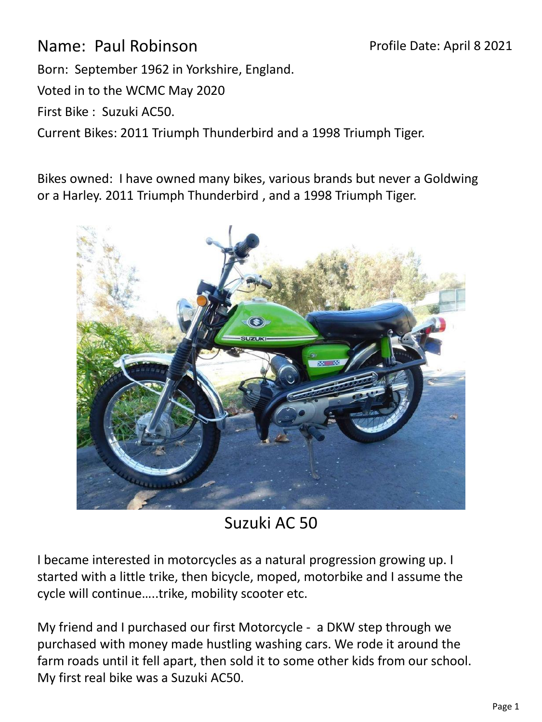Name: Paul Robinson Born: September 1962 in Yorkshire, England. Voted in to the WCMC May 2020 First Bike : Suzuki AC50. Current Bikes: 2011 Triumph Thunderbird and a 1998 Triumph Tiger. Profile Date: April 8 2021

Bikes owned: I have owned many bikes, various brands but never a Goldwing or a Harley. 2011 Triumph Thunderbird , and a 1998 Triumph Tiger.



Suzuki AC 50

I became interested in motorcycles as a natural progression growing up. I started with a little trike, then bicycle, moped, motorbike and I assume the cycle will continue…..trike, mobility scooter etc.

My friend and I purchased our first Motorcycle - a DKW step through we purchased with money made hustling washing cars. We rode it around the farm roads until it fell apart, then sold it to some other kids from our school. My first real bike was a Suzuki AC50.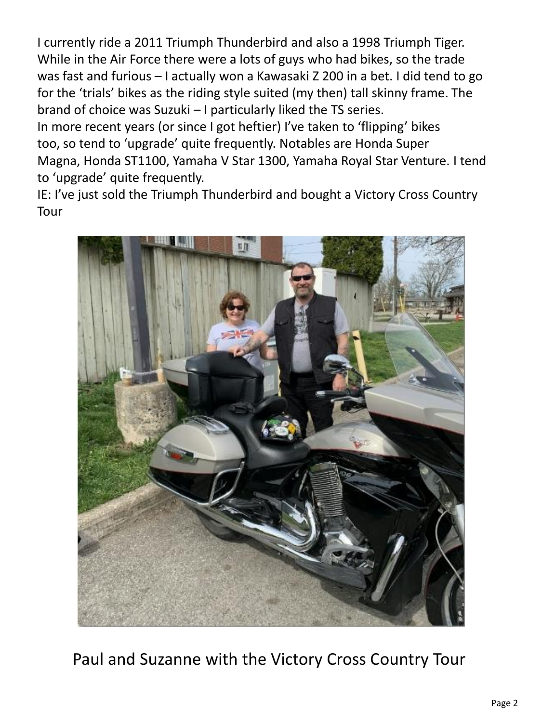I currently ride a 2011 Triumph Thunderbird and also a 1998 Triumph Tiger. While in the Air Force there were a lots of guys who had bikes, so the trade was fast and furious – I actually won a Kawasaki Z 200 in a bet. I did tend to go for the 'trials' bikes as the riding style suited (my then) tall skinny frame. The brand of choice was Suzuki – I particularly liked the TS series.

In more recent years (or since I got heftier) I've taken to 'flipping' bikes too, so tend to 'upgrade' quite frequently. Notables are Honda Super Magna, Honda ST1100, Yamaha V Star 1300, Yamaha Royal Star Venture. I tend to 'upgrade' quite frequently.

IE: I've just sold the Triumph Thunderbird and bought a Victory Cross Country Tour



Paul and Suzanne with the Victory Cross Country Tour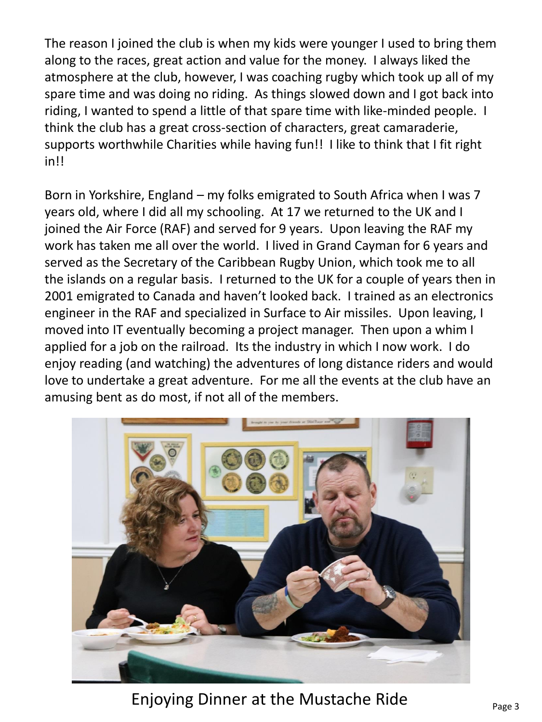The reason I joined the club is when my kids were younger I used to bring them along to the races, great action and value for the money. I always liked the atmosphere at the club, however, I was coaching rugby which took up all of my spare time and was doing no riding. As things slowed down and I got back into riding, I wanted to spend a little of that spare time with like-minded people. I think the club has a great cross-section of characters, great camaraderie, supports worthwhile Charities while having fun!! I like to think that I fit right in!!

Born in Yorkshire, England – my folks emigrated to South Africa when I was 7 years old, where I did all my schooling. At 17 we returned to the UK and I joined the Air Force (RAF) and served for 9 years. Upon leaving the RAF my work has taken me all over the world. I lived in Grand Cayman for 6 years and served as the Secretary of the Caribbean Rugby Union, which took me to all the islands on a regular basis. I returned to the UK for a couple of years then in 2001 emigrated to Canada and haven't looked back. I trained as an electronics engineer in the RAF and specialized in Surface to Air missiles. Upon leaving, I moved into IT eventually becoming a project manager. Then upon a whim I applied for a job on the railroad. Its the industry in which I now work. I do enjoy reading (and watching) the adventures of long distance riders and would love to undertake a great adventure. For me all the events at the club have an amusing bent as do most, if not all of the members.



Enjoying Dinner at the Mustache Ride  $P_{\text{page 3}}$